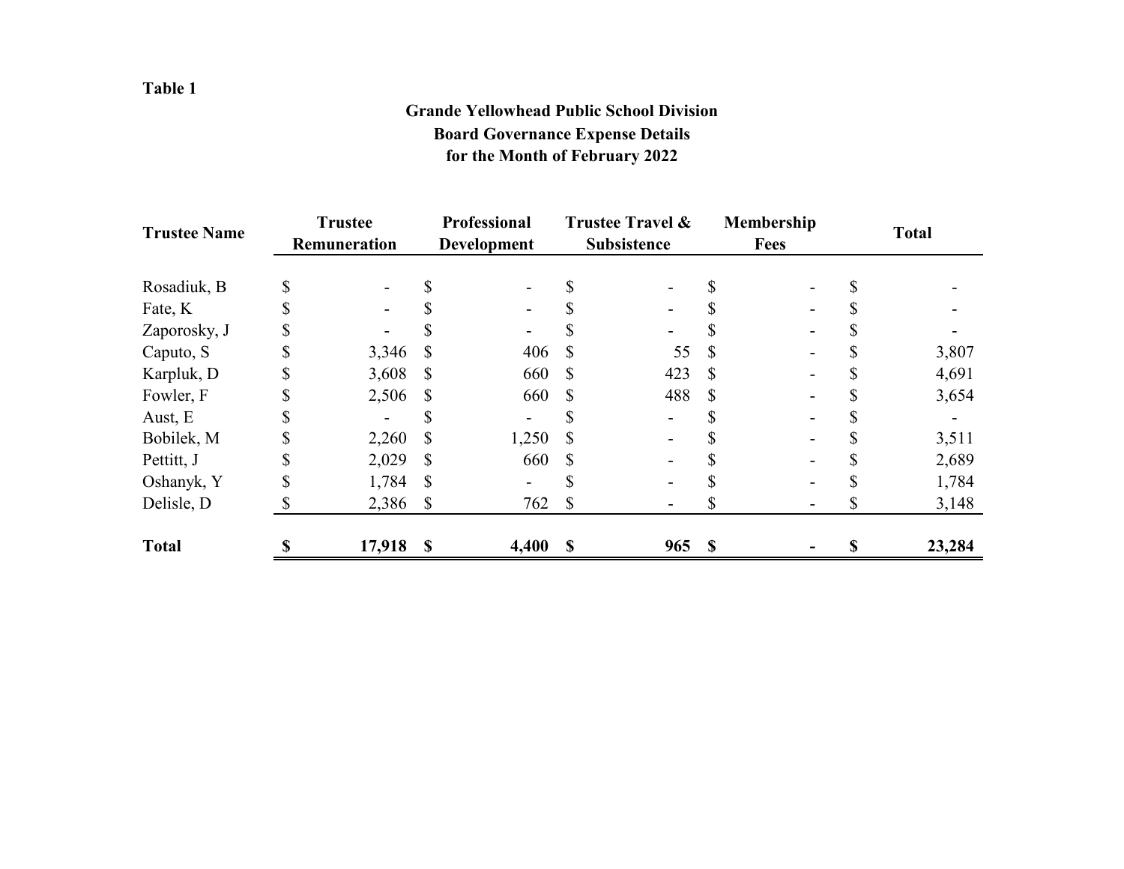#### **Table 1**

# **Grande Yellowhead Public School Division Board Governance Expense Details for the Month of February 2022**

| <b>Trustee Name</b> | <b>Trustee</b><br>Remuneration |        | Professional<br><b>Development</b> |       | <b>Trustee Travel &amp;</b><br><b>Subsistence</b> |                          | <b>Membership</b><br>Fees |  | <b>Total</b> |        |
|---------------------|--------------------------------|--------|------------------------------------|-------|---------------------------------------------------|--------------------------|---------------------------|--|--------------|--------|
| Rosadiuk, B         | \$                             |        |                                    |       |                                                   |                          |                           |  |              |        |
| Fate, K             |                                |        |                                    |       |                                                   | $\overline{\phantom{a}}$ |                           |  |              |        |
| Zaporosky, J        |                                |        |                                    |       |                                                   | ۰                        |                           |  |              |        |
| Caputo, S           | \$                             | 3,346  | \$                                 | 406   |                                                   | 55                       | \$                        |  | ۰D           | 3,807  |
| Karpluk, D          |                                | 3,608  | S                                  | 660   | <b>S</b>                                          | 423                      | S                         |  |              | 4,691  |
| Fowler, F           |                                | 2,506  | S                                  | 660   |                                                   | 488                      | \$                        |  |              | 3,654  |
| Aust, E             |                                |        |                                    |       |                                                   | $\blacksquare$           |                           |  |              |        |
| Bobilek, M          |                                | 2,260  | \$                                 | 1,250 | S                                                 | ۰.                       |                           |  |              | 3,511  |
| Pettitt, J          |                                | 2,029  | S                                  | 660   |                                                   |                          |                           |  |              | 2,689  |
| Oshanyk, Y          |                                | 1,784  | S                                  |       |                                                   | $\overline{\phantom{0}}$ |                           |  |              | 1,784  |
| Delisle, D          |                                | 2,386  | \$                                 | 762   | S                                                 |                          | J)                        |  | ۰D           | 3,148  |
| <b>Total</b>        |                                | 17,918 | $\boldsymbol{\mathsf{S}}$          | 4,400 | $\mathbf S$                                       | 965                      | <sup>\$</sup>             |  |              | 23,284 |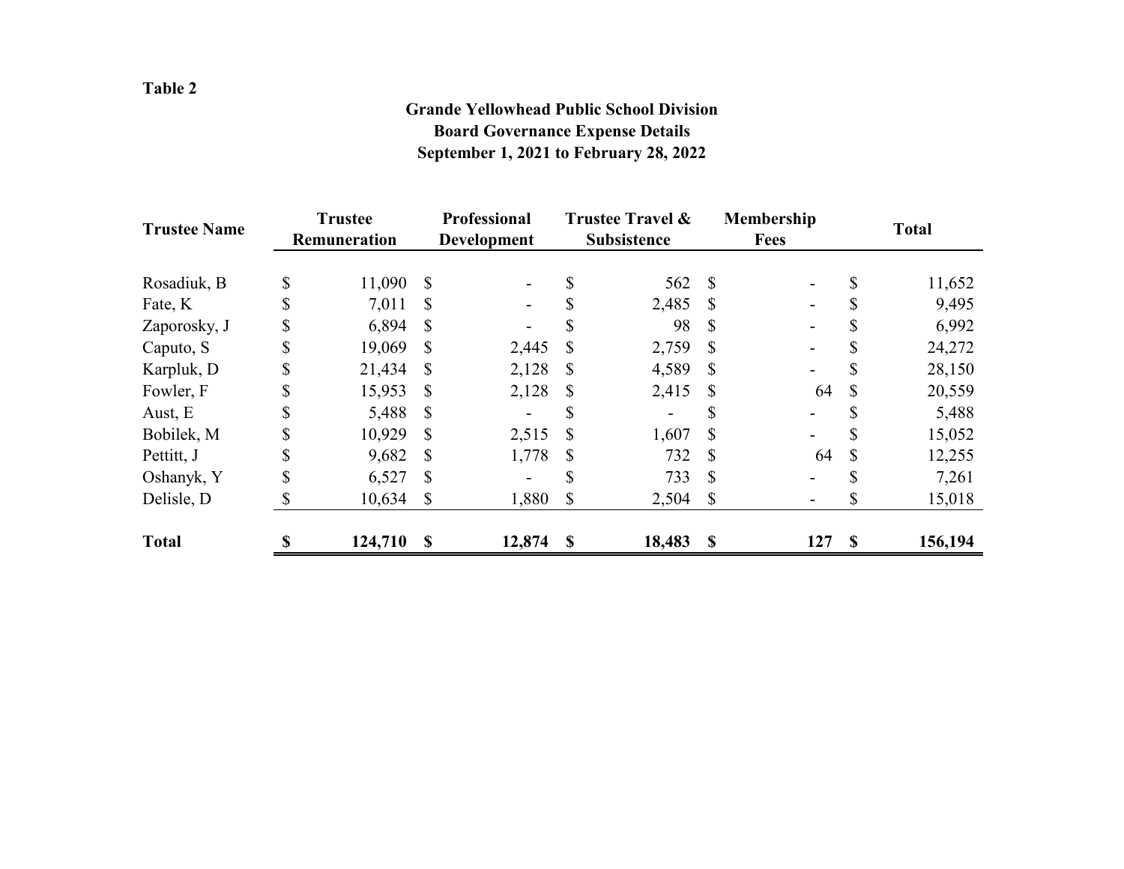# **Grande Yellowhead Public School Division Board Governance Expense Details September 1, 2021 to February 28, 2022**

| <b>Trustee Name</b> | <b>Trustee</b><br>Remuneration |         | <b>Professional</b><br>Development |        | <b>Trustee Travel &amp;</b><br><b>Subsistence</b> |                          | Membership<br>Fees |     | <b>Total</b>  |         |
|---------------------|--------------------------------|---------|------------------------------------|--------|---------------------------------------------------|--------------------------|--------------------|-----|---------------|---------|
| Rosadiuk, B         | \$                             | 11,090  | $\mathbb{S}$                       |        |                                                   | 562 \$                   |                    |     | $\mathcal{S}$ | 11,652  |
| Fate, K             | \$                             | 7,011   | S                                  |        |                                                   | 2,485                    | S                  |     | \$            | 9,495   |
| Zaporosky, J        | \$                             | 6,894   | S                                  |        |                                                   | 98                       | S                  |     | \$            | 6,992   |
| Caputo, S           | \$                             | 19,069  | S                                  | 2,445  | S                                                 | 2,759                    | $\mathbb{S}$       |     | \$            | 24,272  |
| Karpluk, D          | \$                             | 21,434  | \$                                 | 2,128  | S                                                 | 4,589                    | <sup>S</sup>       |     | \$            | 28,150  |
| Fowler, F           | \$                             | 15,953  | S                                  | 2,128  | <b>S</b>                                          | 2,415                    | <sup>S</sup>       | 64  |               | 20,559  |
| Aust, E             | \$                             | 5,488   | \$                                 |        |                                                   | $\overline{\phantom{a}}$ | J)                 |     | Ъ             | 5,488   |
| Bobilek, M          | \$                             | 10,929  | S                                  | 2,515  | S                                                 | 1,607                    | \$                 | ۰.  | S             | 15,052  |
| Pettitt, J          | \$                             | 9,682   | S                                  | 1,778  | \$                                                | 732                      | S                  | 64  | \$            | 12,255  |
| Oshanyk, Y          | \$                             | 6,527   | $\mathbb{S}$                       |        |                                                   | 733                      | S                  |     |               | 7,261   |
| Delisle, D          |                                | 10,634  | \$                                 | 1,880  | S                                                 | $2,504$ \$               |                    | ۰.  | \$            | 15,018  |
| <b>Total</b>        |                                | 124,710 | \$                                 | 12,874 | <b>S</b>                                          | 18,483                   | $\mathbf s$        | 127 | \$            | 156,194 |